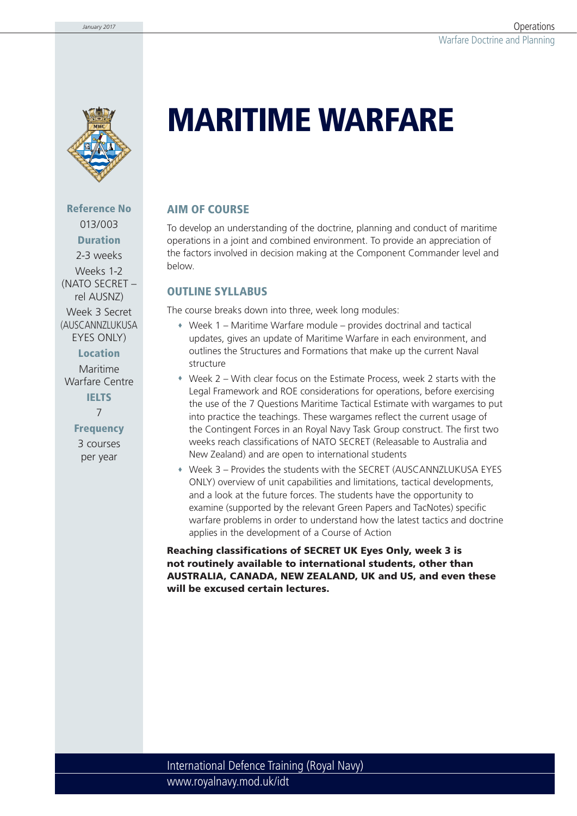

**Reference No** 013/003 **Duration** 2-3 weeks Weeks 1-2

(NATO SECRET – rel AUSNZ) Week 3 Secret

(AUSCANN7LUKUSA EYES ONLY)

**Location**

Maritime Warfare Centre **IELTS** 7

> **Frequency** 3 courses per year

# **MARITIME WARFARE**

### **AIM OF COURSE**

To develop an understanding of the doctrine, planning and conduct of maritime operations in a joint and combined environment. To provide an appreciation of the factors involved in decision making at the Component Commander level and below.

### **OUTLINE SYLLABUS**

The course breaks down into three, week long modules:

- Week 1 Maritime Warfare module provides doctrinal and tactical updates, gives an update of Maritime Warfare in each environment, and outlines the Structures and Formations that make up the current Naval structure
- Week 2 With clear focus on the Estimate Process, week 2 starts with the Legal Framework and ROE considerations for operations, before exercising the use of the 7 Questions Maritime Tactical Estimate with wargames to put into practice the teachings. These wargames reflect the current usage of the Contingent Forces in an Royal Navy Task Group construct. The first two weeks reach classifications of NATO SECRET (Releasable to Australia and New Zealand) and are open to international students
- Week 3 Provides the students with the SECRET (AUSCANNZLUKUSA EYES ONLY) overview of unit capabilities and limitations, tactical developments, and a look at the future forces. The students have the opportunity to examine (supported by the relevant Green Papers and TacNotes) specific warfare problems in order to understand how the latest tactics and doctrine applies in the development of a Course of Action

**Reaching classifications of SECRET UK Eyes Only, week 3 is not routinely available to international students, other than AUSTRALIA, CANADA, NEW ZEALAND, UK and US, and even these will be excused certain lectures.**